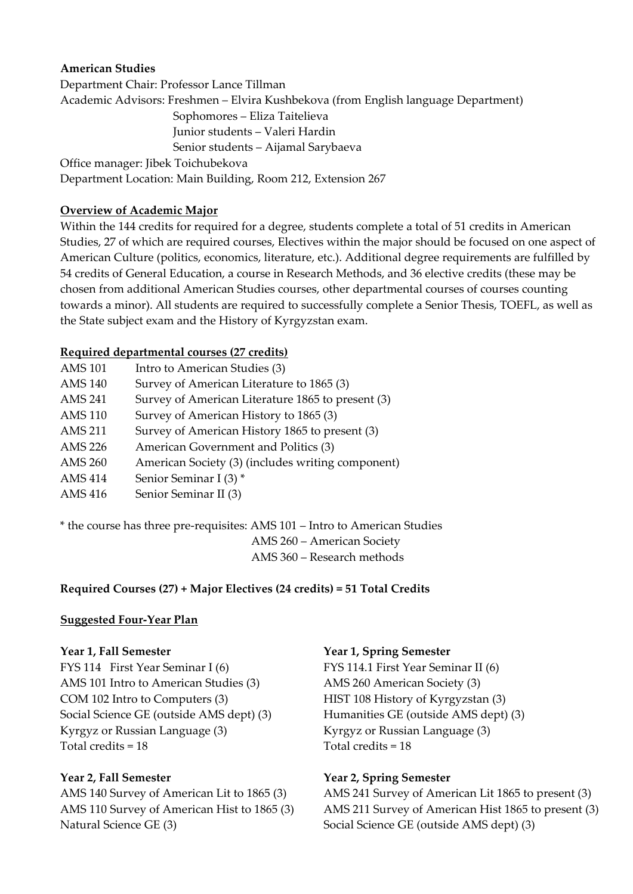## **American Studies**

Department Chair: Professor Lance Tillman Academic Advisors: Freshmen – Elvira Kushbekova (from English language Department) Sophomores – Eliza Taitelieva Junior students – Valeri Hardin Senior students – Aijamal Sarybaeva Office manager: Jibek Toichubekova

Department Location: Main Building, Room 212, Extension 267

# **Overview of Academic Major**

Within the 144 credits for required for a degree, students complete a total of 51 credits in American Studies, 27 of which are required courses, Electives within the major should be focused on one aspect of American Culture (politics, economics, literature, etc.). Additional degree requirements are fulfilled by 54 credits of General Education, a course in Research Methods, and 36 elective credits (these may be chosen from additional American Studies courses, other departmental courses of courses counting towards a minor). All students are required to successfully complete a Senior Thesis, TOEFL, as well as the State subject exam and the History of Kyrgyzstan exam.

# **Required departmental courses (27 credits)**

| <b>AMS 101</b> | Intro to American Studies (3)                     |
|----------------|---------------------------------------------------|
| <b>AMS 140</b> | Survey of American Literature to 1865 (3)         |
| <b>AMS 241</b> | Survey of American Literature 1865 to present (3) |
| <b>AMS 110</b> | Survey of American History to 1865 (3)            |
| <b>AMS 211</b> | Survey of American History 1865 to present (3)    |
| <b>AMS 226</b> | American Government and Politics (3)              |
| <b>AMS 260</b> | American Society (3) (includes writing component) |
| <b>AMS 414</b> | Senior Seminar I (3) *                            |
| <b>AMS 416</b> | Senior Seminar II (3)                             |

\* the course has three pre‐requisites: AMS 101 – Intro to American Studies AMS 260 – American Society AMS 360 – Research methods

# **Required Courses (27) + Major Electives (24 credits) = 51 Total Credits**

### **Suggested Four‐Year Plan**

FYS 114 First Year Seminar I (6) FYS 114.1 First Year Seminar II (6) AMS 101 Intro to American Studies (3) AMS 260 American Society (3) COM 102 Intro to Computers (3) HIST 108 History of Kyrgyzstan (3) Social Science GE (outside AMS dept) (3) Humanities GE (outside AMS dept) (3) Kyrgyz or Russian Language (3) Kyrgyz or Russian Language (3)  $Total credits = 18$   $Total credits = 18$ 

Natural Science GE (3) Social Science GE (outside AMS dept) (3)

### **Year 1, Fall Semester Year 1, Spring Semester**

### **Year 2, Fall Semester Year 2, Spring Semester**

AMS 140 Survey of American Lit to 1865 (3) AMS 241 Survey of American Lit 1865 to present (3) AMS 110 Survey of American Hist to 1865 (3) AMS 211 Survey of American Hist 1865 to present (3)